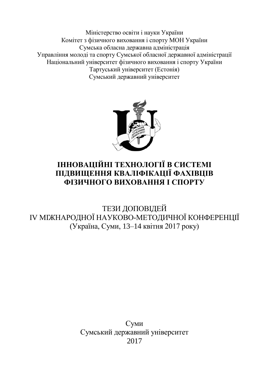Міністерство освіти і науки України Комітет з фізичного виховання і спорту МОН України Сумська обласна державна адміністрація Управління молоді та спорту Сумської обласної державної адміністрації Національний університет фізичного виховання і спорту України Тартуський університет (Естонія) Сумський державний університет



## **ІННОВАЦІЙНІ ТЕХНОЛОГІЇ В СИСТЕМІ ПІДВИЩЕННЯ КВАЛІФІКАЦІЇ ФАХІВЦІВ ФІЗИЧНОГО ВИХОВАННЯ І СПОРТУ**

ТЕЗИ ДОПОВІДЕЙ IV МІЖНАРОДНОЇ НАУКОВО-МЕТОДИЧНОЇ КОНФЕРЕНЦІЇ (Україна, Суми, 13–14 квітня 2017 року)

> Суми Сумський державний університет 2017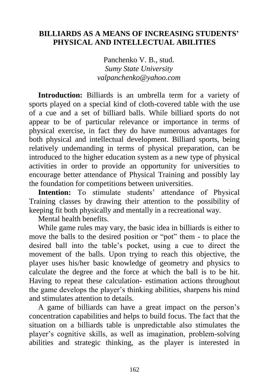## **BILLIARDS AS A MEANS OF INCREASING STUDENTS' PHYSICAL AND INTELLECTUAL ABILITIES**

Panchenko V. B., stud. *Sumy State University [valpanchenko@yahoo.com](mailto:valpanchenko@yahoo.com)*

**Introduction:** Billiards is an umbrella term for a variety of sports played on a special kind of cloth-covered table with the use of a cue and a set of billiard balls. While billiard sports do not appear to be of particular relevance or importance in terms of physical exercise, in fact they do have numerous advantages for both physical and intellectual development. Billiard sports, being relatively undemanding in terms of physical preparation, can be introduced to the higher education system as a new type of physical activities in order to provide an opportunity for universities to encourage better attendance of Physical Training and possibly lay the foundation for competitions between universities.

**Intention:** To stimulate students' attendance of Physical Training classes by drawing their attention to the possibility of keeping fit both physically and mentally in a recreational way.

Mental health benefits.

While game rules may vary, the basic idea in billiards is either to move the balls to the desired position or "pot" them - to place the desired ball into the table's pocket, using a cue to direct the movement of the balls. Upon trying to reach this objective, the player uses his/her basic knowledge of geometry and physics to calculate the degree and the force at which the ball is to be hit. Having to repeat these calculation- estimation actions throughout the game develops the player's thinking abilities, sharpens his mind and stimulates attention to details.

A game of billiards can have a great impact on the person's concentration capabilities and helps to build focus. The fact that the situation on a billiards table is unpredictable also stimulates the player's cognitive skills, as well as imagination, problem-solving abilities and strategic thinking, as the player is interested in